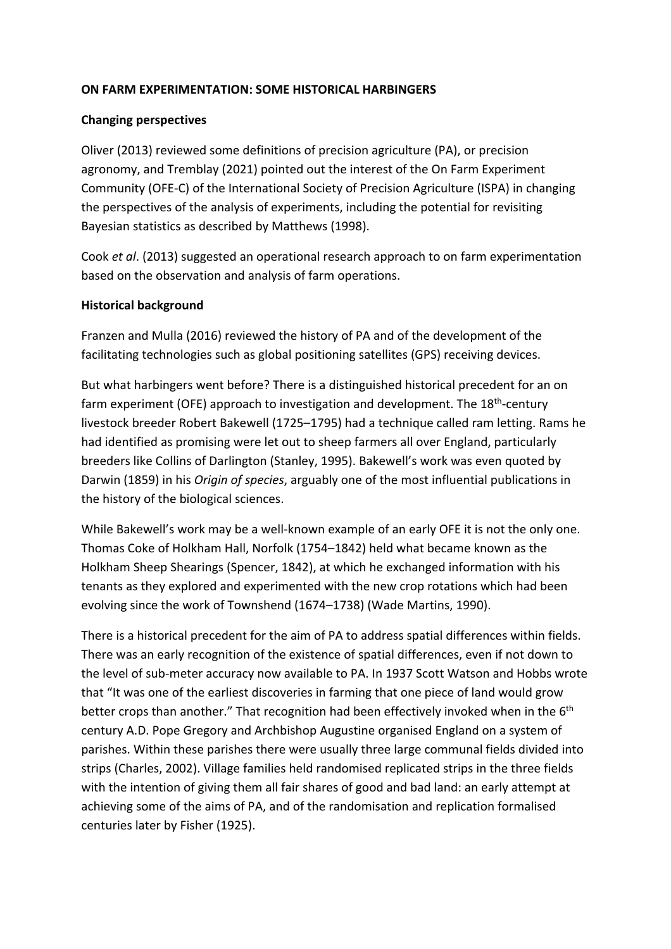## **ON FARM EXPERIMENTATION: SOME HISTORICAL HARBINGERS**

#### **Changing perspectives**

Oliver (2013) reviewed some definitions of precision agriculture (PA), or precision agronomy, and Tremblay (2021) pointed out the interest of the On Farm Experiment Community (OFE-C) of the International Society of Precision Agriculture (ISPA) in changing the perspectives of the analysis of experiments, including the potential for revisiting Bayesian statistics as described by Matthews (1998).

Cook *et al*. (2013) suggested an operational research approach to on farm experimentation based on the observation and analysis of farm operations.

### **Historical background**

Franzen and Mulla (2016) reviewed the history of PA and of the development of the facilitating technologies such as global positioning satellites (GPS) receiving devices.

But what harbingers went before? There is a distinguished historical precedent for an on farm experiment (OFE) approach to investigation and development. The 18<sup>th</sup>-century livestock breeder Robert Bakewell (1725–1795) had a technique called ram letting. Rams he had identified as promising were let out to sheep farmers all over England, particularly breeders like Collins of Darlington (Stanley, 1995). Bakewell's work was even quoted by Darwin (1859) in his *Origin of species*, arguably one of the most influential publications in the history of the biological sciences.

While Bakewell's work may be a well-known example of an early OFE it is not the only one. Thomas Coke of Holkham Hall, Norfolk (1754–1842) held what became known as the Holkham Sheep Shearings (Spencer, 1842), at which he exchanged information with his tenants as they explored and experimented with the new crop rotations which had been evolving since the work of Townshend (1674–1738) (Wade Martins, 1990).

There is a historical precedent for the aim of PA to address spatial differences within fields. There was an early recognition of the existence of spatial differences, even if not down to the level of sub-meter accuracy now available to PA. In 1937 Scott Watson and Hobbs wrote that "It was one of the earliest discoveries in farming that one piece of land would grow better crops than another." That recognition had been effectively invoked when in the 6<sup>th</sup> century A.D. Pope Gregory and Archbishop Augustine organised England on a system of parishes. Within these parishes there were usually three large communal fields divided into strips (Charles, 2002). Village families held randomised replicated strips in the three fields with the intention of giving them all fair shares of good and bad land: an early attempt at achieving some of the aims of PA, and of the randomisation and replication formalised centuries later by Fisher (1925).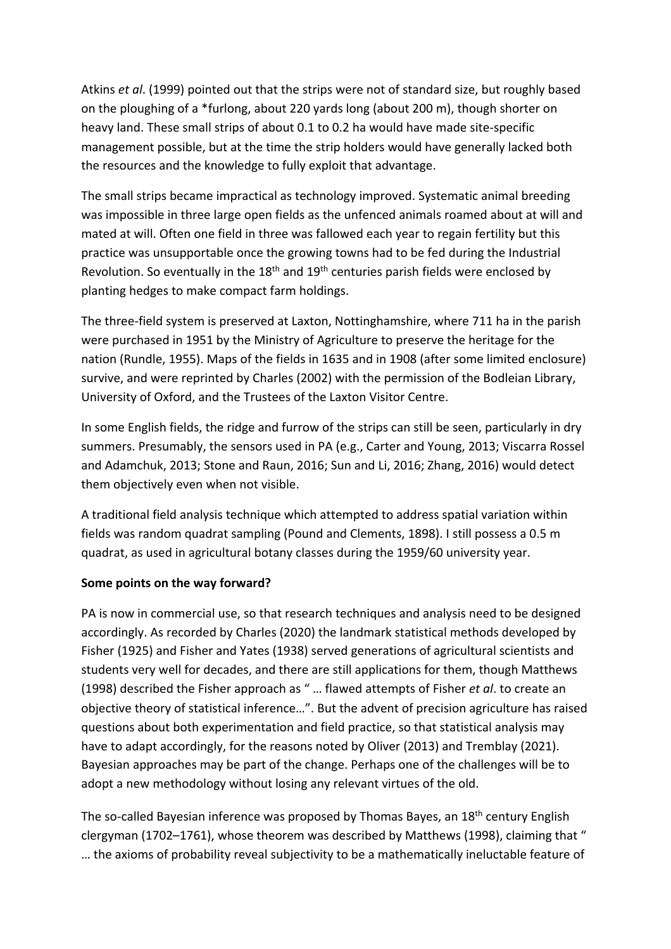Atkins *et al*. (1999) pointed out that the strips were not of standard size, but roughly based on the ploughing of a \*furlong, about 220 yards long (about 200 m), though shorter on heavy land. These small strips of about 0.1 to 0.2 ha would have made site-specific management possible, but at the time the strip holders would have generally lacked both the resources and the knowledge to fully exploit that advantage.

The small strips became impractical as technology improved. Systematic animal breeding was impossible in three large open fields as the unfenced animals roamed about at will and mated at will. Often one field in three was fallowed each year to regain fertility but this practice was unsupportable once the growing towns had to be fed during the Industrial Revolution. So eventually in the  $18<sup>th</sup>$  and  $19<sup>th</sup>$  centuries parish fields were enclosed by planting hedges to make compact farm holdings.

The three-field system is preserved at Laxton, Nottinghamshire, where 711 ha in the parish were purchased in 1951 by the Ministry of Agriculture to preserve the heritage for the nation (Rundle, 1955). Maps of the fields in 1635 and in 1908 (after some limited enclosure) survive, and were reprinted by Charles (2002) with the permission of the Bodleian Library, University of Oxford, and the Trustees of the Laxton Visitor Centre.

In some English fields, the ridge and furrow of the strips can still be seen, particularly in dry summers. Presumably, the sensors used in PA (e.g., Carter and Young, 2013; Viscarra Rossel and Adamchuk, 2013; Stone and Raun, 2016; Sun and Li, 2016; Zhang, 2016) would detect them objectively even when not visible.

A traditional field analysis technique which attempted to address spatial variation within fields was random quadrat sampling (Pound and Clements, 1898). I still possess a 0.5 m quadrat, as used in agricultural botany classes during the 1959/60 university year.

## **Some points on the way forward?**

PA is now in commercial use, so that research techniques and analysis need to be designed accordingly. As recorded by Charles (2020) the landmark statistical methods developed by Fisher (1925) and Fisher and Yates (1938) served generations of agricultural scientists and students very well for decades, and there are still applications for them, though Matthews (1998) described the Fisher approach as " … flawed attempts of Fisher *et al*. to create an objective theory of statistical inference…". But the advent of precision agriculture has raised questions about both experimentation and field practice, so that statistical analysis may have to adapt accordingly, for the reasons noted by Oliver (2013) and Tremblay (2021). Bayesian approaches may be part of the change. Perhaps one of the challenges will be to adopt a new methodology without losing any relevant virtues of the old.

The so-called Bayesian inference was proposed by Thomas Bayes, an 18<sup>th</sup> century English clergyman (1702–1761), whose theorem was described by Matthews (1998), claiming that " … the axioms of probability reveal subjectivity to be a mathematically ineluctable feature of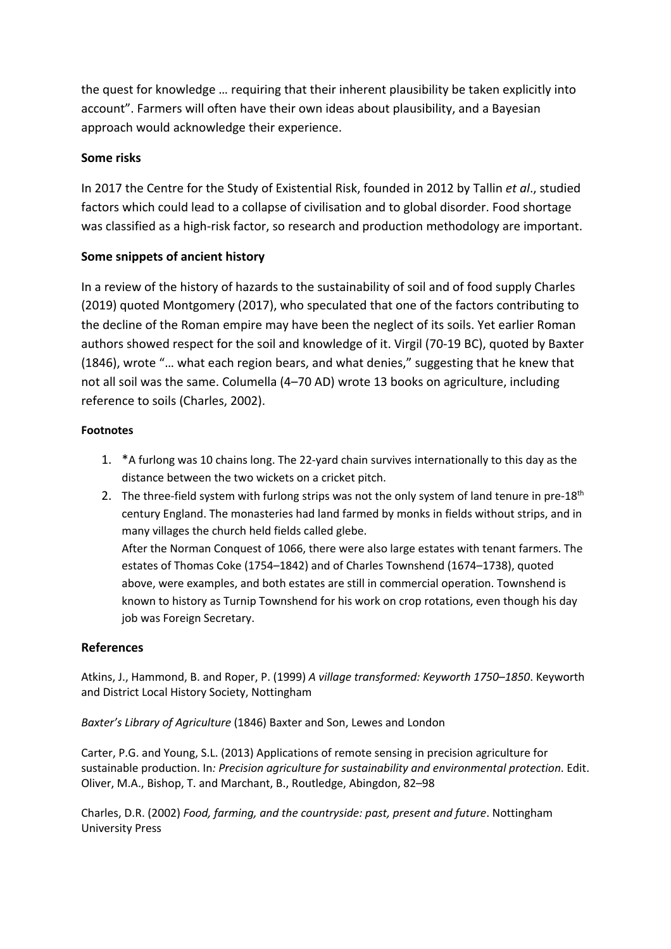the quest for knowledge … requiring that their inherent plausibility be taken explicitly into account". Farmers will often have their own ideas about plausibility, and a Bayesian approach would acknowledge their experience.

## **Some risks**

In 2017 the Centre for the Study of Existential Risk, founded in 2012 by Tallin *et al*., studied factors which could lead to a collapse of civilisation and to global disorder. Food shortage was classified as a high-risk factor, so research and production methodology are important.

# **Some snippets of ancient history**

In a review of the history of hazards to the sustainability of soil and of food supply Charles (2019) quoted Montgomery (2017), who speculated that one of the factors contributing to the decline of the Roman empire may have been the neglect of its soils. Yet earlier Roman authors showed respect for the soil and knowledge of it. Virgil (70-19 BC), quoted by Baxter (1846), wrote "… what each region bears, and what denies," suggesting that he knew that not all soil was the same. Columella (4–70 AD) wrote 13 books on agriculture, including reference to soils (Charles, 2002).

### **Footnotes**

- 1. \*A furlong was 10 chains long. The 22-yard chain survives internationally to this day as the distance between the two wickets on a cricket pitch.
- 2. The three-field system with furlong strips was not the only system of land tenure in pre-18<sup>th</sup> century England. The monasteries had land farmed by monks in fields without strips, and in many villages the church held fields called glebe. After the Norman Conquest of 1066, there were also large estates with tenant farmers. The

estates of Thomas Coke (1754–1842) and of Charles Townshend (1674–1738), quoted above, were examples, and both estates are still in commercial operation. Townshend is known to history as Turnip Townshend for his work on crop rotations, even though his day job was Foreign Secretary.

## **References**

Atkins, J., Hammond, B. and Roper, P. (1999) *A village transformed: Keyworth 1750–1850*. Keyworth and District Local History Society, Nottingham

*Baxter's Library of Agriculture* (1846) Baxter and Son, Lewes and London

Carter, P.G. and Young, S.L. (2013) Applications of remote sensing in precision agriculture for sustainable production. In*: Precision agriculture for sustainability and environmental protection*. Edit. Oliver, M.A., Bishop, T. and Marchant, B., Routledge, Abingdon, 82–98

Charles, D.R. (2002) *Food, farming, and the countryside: past, present and future*. Nottingham University Press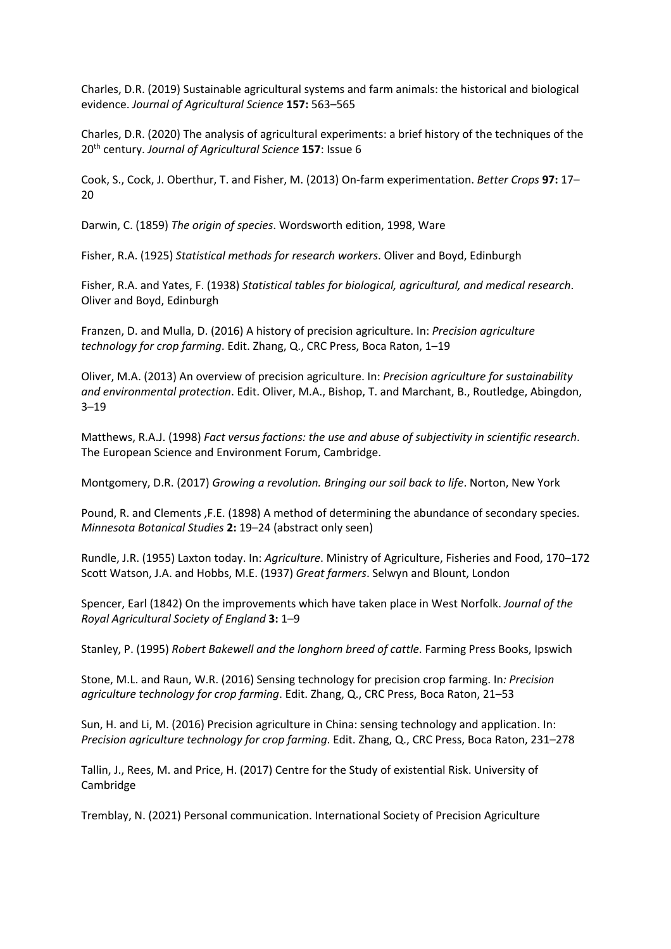Charles, D.R. (2019) Sustainable agricultural systems and farm animals: the historical and biological evidence. *Journal of Agricultural Science* **157:** 563–565

Charles, D.R. (2020) The analysis of agricultural experiments: a brief history of the techniques of the 20th century. *Journal of Agricultural Science* **157**: Issue 6

Cook, S., Cock, J. Oberthur, T. and Fisher, M. (2013) On-farm experimentation. *Better Crops* **97:** 17– 20

Darwin, C. (1859) *The origin of species*. Wordsworth edition, 1998, Ware

Fisher, R.A. (1925) *Statistical methods for research workers*. Oliver and Boyd, Edinburgh

Fisher, R.A. and Yates, F. (1938) *Statistical tables for biological, agricultural, and medical research*. Oliver and Boyd, Edinburgh

Franzen, D. and Mulla, D. (2016) A history of precision agriculture. In: *Precision agriculture technology for crop farming*. Edit. Zhang, Q., CRC Press, Boca Raton, 1–19

Oliver, M.A. (2013) An overview of precision agriculture. In: *Precision agriculture for sustainability and environmental protection*. Edit. Oliver, M.A., Bishop, T. and Marchant, B., Routledge, Abingdon, 3–19

Matthews, R.A.J. (1998) *Fact versus factions: the use and abuse of subjectivity in scientific research*. The European Science and Environment Forum, Cambridge.

Montgomery, D.R. (2017) *Growing a revolution. Bringing our soil back to life*. Norton, New York

Pound, R. and Clements ,F.E. (1898) A method of determining the abundance of secondary species. *Minnesota Botanical Studies* **2:** 19–24 (abstract only seen)

Rundle, J.R. (1955) Laxton today. In: *Agriculture*. Ministry of Agriculture, Fisheries and Food, 170–172 Scott Watson, J.A. and Hobbs, M.E. (1937) *Great farmers*. Selwyn and Blount, London

Spencer, Earl (1842) On the improvements which have taken place in West Norfolk. *Journal of the Royal Agricultural Society of England* **3:** 1–9

Stanley, P. (1995) *Robert Bakewell and the longhorn breed of cattle*. Farming Press Books, Ipswich

Stone, M.L. and Raun, W.R. (2016) Sensing technology for precision crop farming. In*: Precision agriculture technology for crop farming*. Edit. Zhang, Q., CRC Press, Boca Raton, 21–53

Sun, H. and Li, M. (2016) Precision agriculture in China: sensing technology and application. In: *Precision agriculture technology for crop farming*. Edit. Zhang, Q., CRC Press, Boca Raton, 231–278

Tallin, J., Rees, M. and Price, H. (2017) Centre for the Study of existential Risk. University of Cambridge

Tremblay, N. (2021) Personal communication. International Society of Precision Agriculture